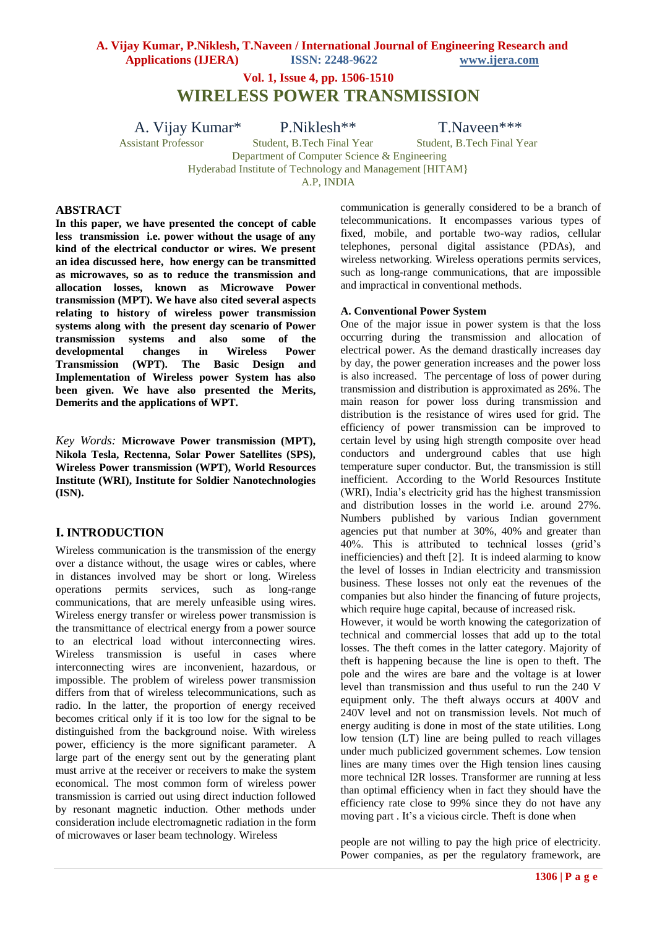**Vol. 1, Issue 4, pp. 1506-1510**

**WIRELESS POWER TRANSMISSION**

A. Vijay Kumar\* P.Niklesh\*\* T.Naveen\*\*\*

Assistant Professor Student, B.Tech Final Year Student, B.Tech Final Year

Department of Computer Science & Engineering

Hyderabad Institute of Technology and Management [HITAM}

A.P, INDIA

### **ABSTRACT**

**In this paper, we have presented the concept of cable less transmission i.e. power without the usage of any kind of the electrical conductor or wires. We present an idea discussed here, how energy can be transmitted as microwaves, so as to reduce the transmission and allocation losses, known as Microwave Power transmission (MPT). We have also cited several aspects relating to history of wireless power transmission systems along with the present day scenario of Power transmission systems and also some of the developmental changes in Wireless Power Transmission (WPT). The Basic Design and Implementation of Wireless power System has also been given. We have also presented the Merits, Demerits and the applications of WPT.**

*Key Words:* **Microwave Power transmission (MPT), Nikola Tesla, Rectenna, Solar Power Satellites (SPS), Wireless Power transmission (WPT), World Resources Institute (WRI), Institute for Soldier Nanotechnologies (ISN).**

### **I. INTRODUCTION**

Wireless communication is the transmission of the energy over a distance without, the usage wires or cables, where in distances involved may be short or long. Wireless operations permits services, such as long-range communications, that are merely unfeasible using wires. Wireless energy transfer or wireless power transmission is the transmittance of electrical energy from a power source to an electrical load without interconnecting wires. Wireless transmission is useful in cases where interconnecting wires are inconvenient, hazardous, or impossible. The problem of wireless power transmission differs from that of wireless telecommunications, such as radio. In the latter, the proportion of energy received becomes critical only if it is too low for the signal to be distinguished from the background noise. With wireless power, efficiency is the more significant parameter. A large part of the energy sent out by the generating plant must arrive at the receiver or receivers to make the system economical. The most common form of wireless power transmission is carried out using direct induction followed by resonant magnetic induction. Other methods under consideration include electromagnetic radiation in the form of microwaves or laser beam technology. Wireless

communication is generally considered to be a branch of telecommunications. It encompasses various types of fixed, mobile, and portable two-way radios, cellular telephones, personal digital assistance (PDAs), and wireless networking. Wireless operations permits services, such as long-range communications, that are impossible and impractical in conventional methods.

#### **A. Conventional Power System**

One of the major issue in power system is that the loss occurring during the transmission and allocation of electrical power. As the demand drastically increases day by day, the power generation increases and the power loss is also increased. The percentage of loss of power during transmission and distribution is approximated as 26%. The main reason for power loss during transmission and distribution is the resistance of wires used for grid. The efficiency of power transmission can be improved to certain level by using high strength composite over head conductors and underground cables that use high temperature super conductor. But, the transmission is still inefficient. According to the World Resources Institute (WRI), India's electricity grid has the highest transmission and distribution losses in the world i.e. around 27%. Numbers published by various Indian government agencies put that number at 30%, 40% and greater than 40%. This is attributed to technical losses (grid's inefficiencies) and theft [2]. It is indeed alarming to know the level of losses in Indian electricity and transmission business. These losses not only eat the revenues of the companies but also hinder the financing of future projects, which require huge capital, because of increased risk.

However, it would be worth knowing the categorization of technical and commercial losses that add up to the total losses. The theft comes in the latter category. Majority of theft is happening because the line is open to theft. The pole and the wires are bare and the voltage is at lower level than transmission and thus useful to run the 240 V equipment only. The theft always occurs at 400V and 240V level and not on transmission levels. Not much of energy auditing is done in most of the state utilities. Long low tension (LT) line are being pulled to reach villages under much publicized government schemes. Low tension lines are many times over the High tension lines causing more technical I2R losses. Transformer are running at less than optimal efficiency when in fact they should have the efficiency rate close to 99% since they do not have any moving part . It's a vicious circle. Theft is done when

people are not willing to pay the high price of electricity. Power companies, as per the regulatory framework, are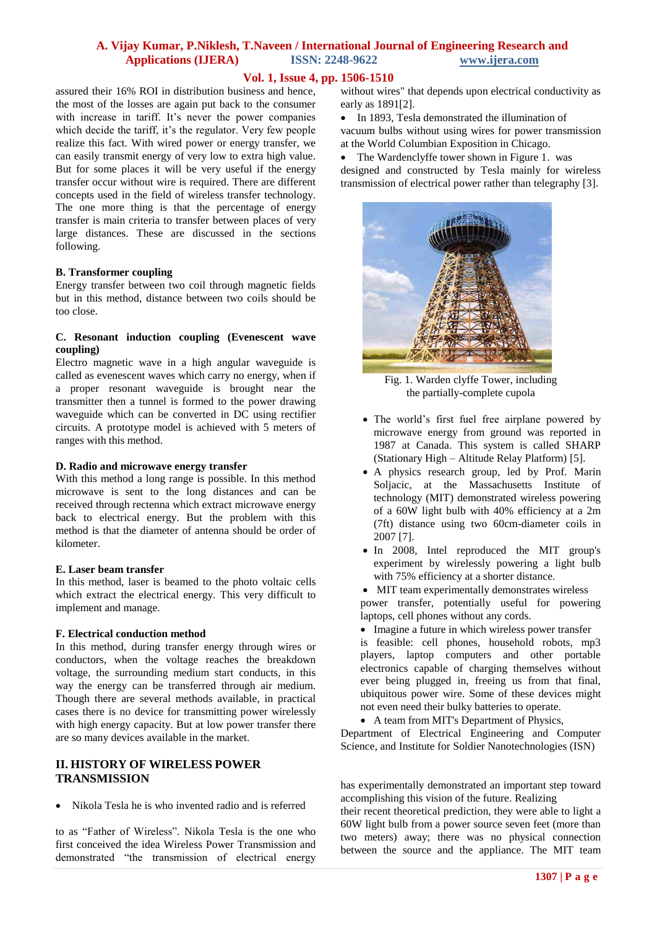## **Vol. 1, Issue 4, pp. 1506-1510**

assured their 16% ROI in distribution business and hence, the most of the losses are again put back to the consumer with increase in tariff. It's never the power companies which decide the tariff, it's the regulator. Very few people realize this fact. With wired power or energy transfer, we can easily transmit energy of very low to extra high value. But for some places it will be very useful if the energy transfer occur without wire is required. There are different concepts used in the field of wireless transfer technology. The one more thing is that the percentage of energy transfer is main criteria to transfer between places of very large distances. These are discussed in the sections following.

### **B. Transformer coupling**

Energy transfer between two coil through magnetic fields but in this method, distance between two coils should be too close.

### **C. Resonant induction coupling (Evenescent wave coupling)**

Electro magnetic wave in a high angular waveguide is called as evenescent waves which carry no energy, when if a proper resonant waveguide is brought near the transmitter then a tunnel is formed to the power drawing waveguide which can be converted in DC using rectifier circuits. A prototype model is achieved with 5 meters of ranges with this method.

### **D. Radio and microwave energy transfer**

With this method a long range is possible. In this method microwave is sent to the long distances and can be received through rectenna which extract microwave energy back to electrical energy. But the problem with this method is that the diameter of antenna should be order of kilometer.

### **E. Laser beam transfer**

In this method, laser is beamed to the photo voltaic cells which extract the electrical energy. This very difficult to implement and manage.

### **F. Electrical conduction method**

In this method, during transfer energy through wires or conductors, when the voltage reaches the breakdown voltage, the surrounding medium start conducts, in this way the energy can be transferred through air medium. Though there are several methods available, in practical cases there is no device for transmitting power wirelessly with high energy capacity. But at low power transfer there are so many devices available in the market.

## **II. HISTORY OF WIRELESS POWER TRANSMISSION**

Nikola Tesla he is who invented radio and is referred

to as "Father of Wireless"*.* Nikola Tesla is the one who first conceived the idea Wireless Power Transmission and demonstrated "the transmission of electrical energy

without wires" that depends upon electrical conductivity as early as 1891[2].

• In 1893, Tesla demonstrated the illumination of vacuum bulbs without using wires for power transmission at the World Columbian Exposition in Chicago.

 The Wardenclyffe tower shown in Figure 1. was designed and constructed by Tesla mainly for wireless transmission of electrical power rather than telegraphy [3].



Fig. 1. Warden clyffe Tower, including the partially-complete cupola

- The world's first fuel free airplane powered by microwave energy from ground was reported in 1987 at Canada. This system is called SHARP (Stationary High – Altitude Relay Platform) [5].
- A physics research group, led by Prof. Marin Soljacic, at the Massachusetts Institute of technology (MIT) demonstrated wireless powering of a 60W light bulb with 40% efficiency at a 2m (7ft) distance using two 60cm-diameter coils in 2007 [7].
- In 2008, Intel reproduced the MIT group's experiment by wirelessly powering a light bulb with 75% efficiency at a shorter distance.

 MIT team experimentally demonstrates wireless power transfer, potentially useful for powering laptops, cell phones without any cords.

- Imagine a future in which wireless power transfer is feasible: cell phones, household robots, mp3 players, laptop computers and other portable electronics capable of charging themselves without ever being plugged in, freeing us from that final, ubiquitous power wire. Some of these devices might not even need their bulky batteries to operate.
- A team from MIT's Department of Physics, Department of Electrical Engineering and Computer Science, and Institute for Soldier Nanotechnologies (ISN)

has experimentally demonstrated an important step toward accomplishing this vision of the future. Realizing

their recent theoretical prediction, they were able to light a 60W light bulb from a power source seven feet (more than two meters) away; there was no physical connection between the source and the appliance. The MIT team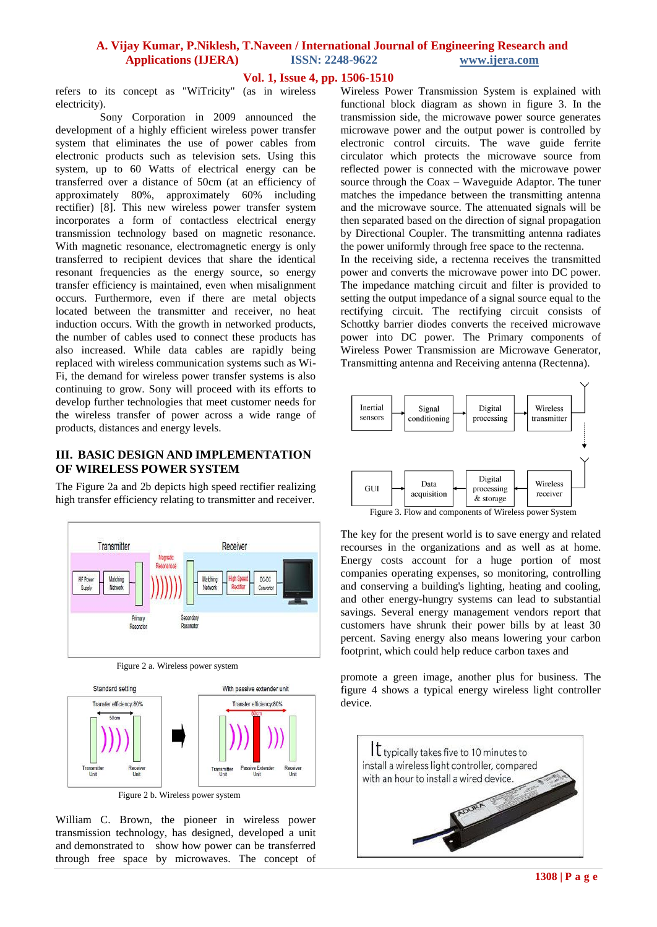## **Vol. 1, Issue 4, pp. 1506-1510**

refers to its concept as "WiTricity" (as in wireless electricity).

Sony Corporation in 2009 announced the development of a highly efficient wireless power transfer system that eliminates the use of power cables from electronic products such as television sets. Using this system, up to 60 Watts of electrical energy can be transferred over a distance of 50cm (at an efficiency of approximately 80%, approximately 60% including rectifier) [8]. This new wireless power transfer system incorporates a form of contactless electrical energy transmission technology based on magnetic resonance. With magnetic resonance, electromagnetic energy is only transferred to recipient devices that share the identical resonant frequencies as the energy source, so energy transfer efficiency is maintained, even when misalignment occurs. Furthermore, even if there are metal objects located between the transmitter and receiver, no heat induction occurs. With the growth in networked products, the number of cables used to connect these products has also increased. While data cables are rapidly being replaced with wireless communication systems such as Wi-Fi, the demand for wireless power transfer systems is also continuing to grow. Sony will proceed with its efforts to develop further technologies that meet customer needs for the wireless transfer of power across a wide range of products, distances and energy levels.

## **III. BASIC DESIGN AND IMPLEMENTATION OF WIRELESS POWER SYSTEM**

The Figure 2a and 2b depicts high speed rectifier realizing high transfer efficiency relating to transmitter and receiver.



Figure 2 a. Wireless power system



Figure 2 b. Wireless power system

William C. Brown, the pioneer in wireless power transmission technology, has designed, developed a unit and demonstrated to show how power can be transferred through free space by microwaves. The concept of Wireless Power Transmission System is explained with functional block diagram as shown in figure 3. In the transmission side, the microwave power source generates microwave power and the output power is controlled by electronic control circuits. The wave guide ferrite circulator which protects the microwave source from reflected power is connected with the microwave power source through the Coax – Waveguide Adaptor. The tuner matches the impedance between the transmitting antenna and the microwave source. The attenuated signals will be then separated based on the direction of signal propagation by Directional Coupler. The transmitting antenna radiates the power uniformly through free space to the rectenna. In the receiving side, a rectenna receives the transmitted

power and converts the microwave power into DC power. The impedance matching circuit and filter is provided to setting the output impedance of a signal source equal to the rectifying circuit. The rectifying circuit consists of Schottky barrier diodes converts the received microwave power into DC power. The Primary components of Wireless Power Transmission are Microwave Generator, Transmitting antenna and Receiving antenna (Rectenna).



The key for the present world is to save energy and related recourses in the organizations and as well as at home. Energy costs account for a huge portion of most companies operating expenses, so monitoring, controlling and conserving a building's lighting, heating and cooling, and other energy-hungry systems can lead to substantial savings. Several energy management vendors report that customers have shrunk their power bills by at least 30 percent. Saving energy also means lowering your carbon footprint, which could help reduce carbon taxes and

promote a green image, another plus for business. The figure 4 shows a typical energy wireless light controller device.

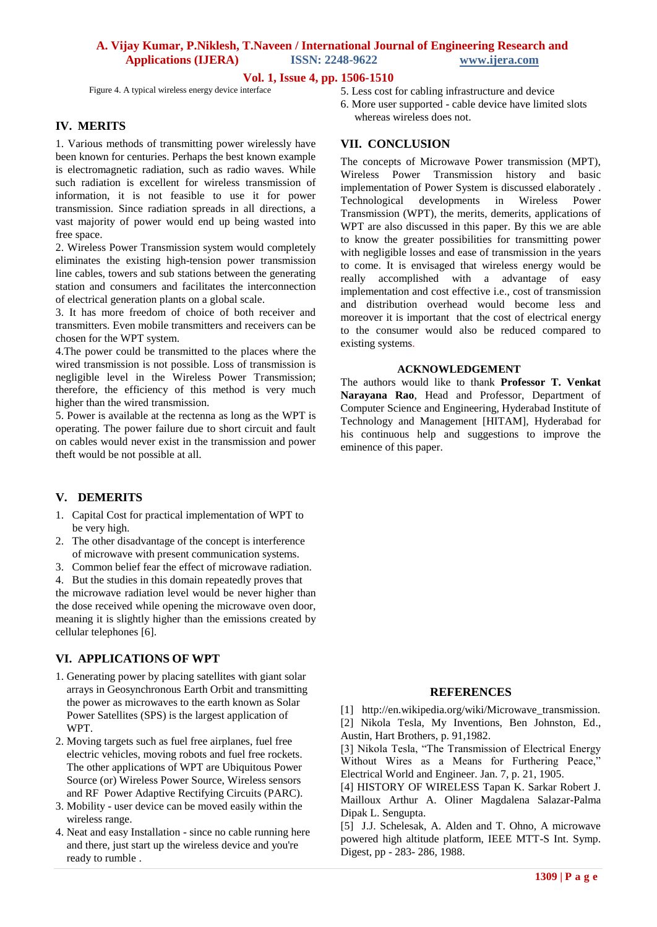### **Vol. 1, Issue 4, pp. 1506-1510**

Figure 4. A typical wireless energy device interface

### **IV. MERITS**

1. Various methods of transmitting power wirelessly have been known for centuries. Perhaps the best known example is electromagnetic radiation, such as radio waves. While such radiation is excellent for wireless transmission of information, it is not feasible to use it for power transmission. Since radiation spreads in all directions, a vast majority of power would end up being wasted into free space.

2. Wireless Power Transmission system would completely eliminates the existing high-tension power transmission line cables, towers and sub stations between the generating station and consumers and facilitates the interconnection of electrical generation plants on a global scale.

3. It has more freedom of choice of both receiver and transmitters. Even mobile transmitters and receivers can be chosen for the WPT system.

4.The power could be transmitted to the places where the wired transmission is not possible. Loss of transmission is negligible level in the Wireless Power Transmission; therefore, the efficiency of this method is very much higher than the wired transmission.

5. Power is available at the rectenna as long as the WPT is operating. The power failure due to short circuit and fault on cables would never exist in the transmission and power theft would be not possible at all.

### **V. DEMERITS**

- 1. Capital Cost for practical implementation of WPT to be very high.
- 2. The other disadvantage of the concept is interference of microwave with present communication systems.
- 3. Common belief fear the effect of microwave radiation.

4. But the studies in this domain repeatedly proves that the microwave radiation level would be never higher than the dose received while opening the microwave oven door, meaning it is slightly higher than the emissions created by cellular telephones [6].

### **VI. APPLICATIONS OF WPT**

- 1. Generating power by placing satellites with giant solar arrays in Geosynchronous Earth Orbit and transmitting the power as microwaves to the earth known as Solar Power Satellites (SPS) is the largest application of WPT.
- 2. Moving targets such as fuel free airplanes, fuel free electric vehicles, moving robots and fuel free rockets. The other applications of WPT are Ubiquitous Power Source (or) Wireless Power Source, Wireless sensors and RF Power Adaptive Rectifying Circuits (PARC).
- 3. Mobility user device can be moved easily within the wireless range.
- 4. Neat and easy Installation since no cable running here and there, just start up the wireless device and you're ready to rumble .
- 5. Less cost for cabling infrastructure and device
- 6. More user supported cable device have limited slots whereas wireless does not.

## **VII. CONCLUSION**

The concepts of Microwave Power transmission (MPT), Wireless Power Transmission history and basic implementation of Power System is discussed elaborately . Technological developments in Wireless Power Transmission (WPT), the merits, demerits, applications of WPT are also discussed in this paper. By this we are able to know the greater possibilities for transmitting power with negligible losses and ease of transmission in the years to come. It is envisaged that wireless energy would be really accomplished with a advantage of easy implementation and cost effective i.e., cost of transmission and distribution overhead would become less and moreover it is important that the cost of electrical energy to the consumer would also be reduced compared to existing systems.

#### **ACKNOWLEDGEMENT**

The authors would like to thank **Professor T. Venkat Narayana Rao**, Head and Professor, Department of Computer Science and Engineering, Hyderabad Institute of Technology and Management [HITAM], Hyderabad for his continuous help and suggestions to improve the eminence of this paper.

#### **REFERENCES**

[1] http://en.wikipedia.org/wiki/Microwave\_transmission. [2] Nikola Tesla, My Inventions, Ben Johnston, Ed., Austin, Hart Brothers, p. 91,1982.

[3] Nikola Tesla, "The Transmission of Electrical Energy Without Wires as a Means for Furthering Peace," Electrical World and Engineer. Jan. 7, p. 21, 1905.

[4] HISTORY OF WIRELESS Tapan K. Sarkar Robert J. Mailloux Arthur A. Oliner Magdalena Salazar-Palma Dipak L. Sengupta.

[5] J.J. Schelesak, A. Alden and T. Ohno, A microwave powered high altitude platform, IEEE MTT-S Int. Symp. Digest, pp - 283- 286, 1988.